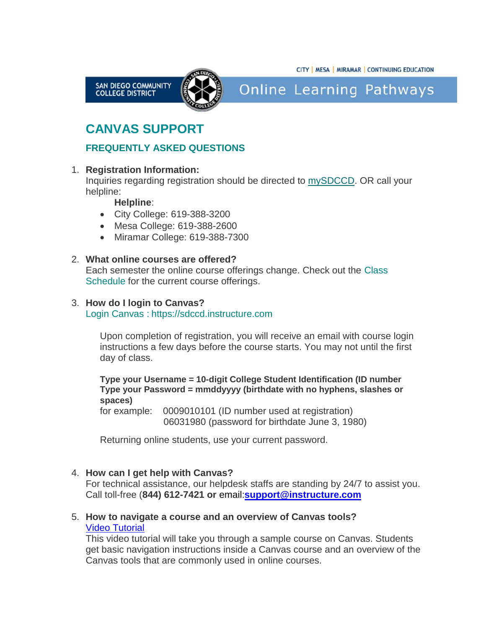



**Online Learning Pathways** 

# **CANVAS SUPPORT**

# **FREQUENTLY ASKED QUESTIONS**

## 1. **Registration Information:**

Inquiries regarding registration should be directed to [mySDCCD.](https://www.sdccd.edu/mysdccd/) OR call your helpline:

## **Helpline**:

- City College: 619-388-3200
- Mesa College: 619-388-2600
- Miramar College: 619-388-7300

# 2. **What online courses are offered?**

Each semester the online course offerings change. Check out the [Class](http://classschedule.sdccd.edu/)  [Schedule](http://classschedule.sdccd.edu/) for the current course offerings.

## 3. **How do I login to Canvas?**

[Login Canvas](https://sdccd.instructure.com/) : https://sdccd.instructure.com

Upon completion of registration, you will receive an email with course login instructions a few days before the course starts. You may not until the first day of class.

**Type your Username = 10-digit College Student Identification (ID number Type your Password = mmddyyyy (birthdate with no hyphens, slashes or spaces)**

for example: 0009010101 (ID number used at registration) 06031980 (password for birthdate June 3, 1980)

Returning online students, use your current password.

#### 4. **How can I get help with Canvas?**

For technical assistance, our helpdesk staffs are standing by 24/7 to assist you. Call toll-free (**844) 612-7421 or** email:**[support@instructure.com](mailto:email-support@instructure.com)**

## 5. **How to navigate a course and an overview of Canvas tools?** [Video Tutorial](https://vimeo.com/74677642)

This video tutorial will take you through a sample course on Canvas. Students get basic navigation instructions inside a Canvas course and an overview of the Canvas tools that are commonly used in online courses.